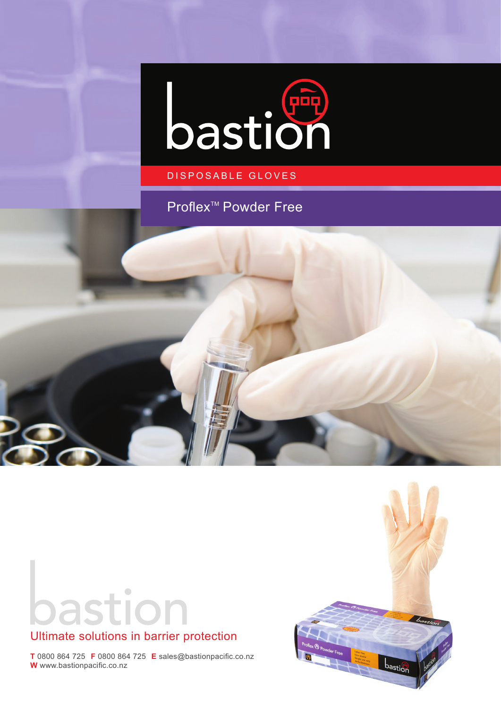

### DISPOSABLE GLOVES

## Proflex<sup>™</sup> Powder Free





## Ultimate solutions in barrier protection

**T** 0800 864 725 **F** 0800 864 725 **E** sales@bastionpacific.co.nz **W** www.bastionpacific.co.nz